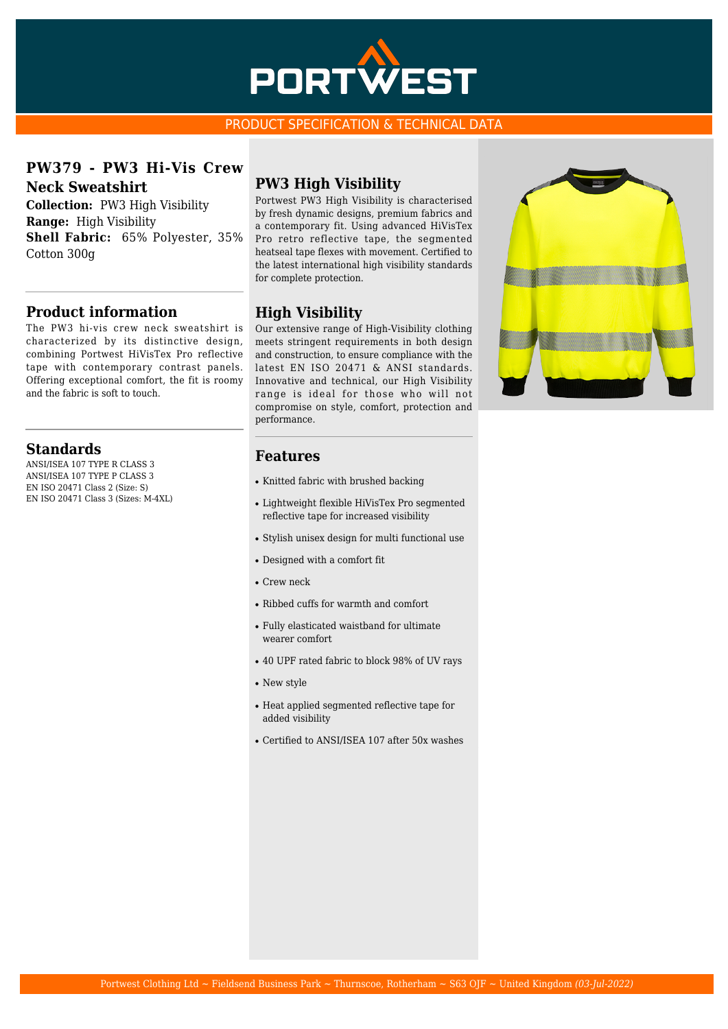

#### PRODUCT SPECIFICATION & TECHNICAL DATA

**PW379 - PW3 Hi-Vis Crew Neck Sweatshirt**

**Collection:** PW3 High Visibility **Range:** High Visibility **Shell Fabric:** 65% Polyester, 35% Cotton 300g

### **Product information**

The PW3 hi-vis crew neck sweatshirt is characterized by its distinctive design, combining Portwest HiVisTex Pro reflective tape with contemporary contrast panels. Offering exceptional comfort, the fit is roomy and the fabric is soft to touch.

#### **Standards**

ANSI/ISEA 107 TYPE R CLASS 3 ANSI/ISEA 107 TYPE P CLASS 3 EN ISO 20471 Class 2 (Size: S) EN ISO 20471 Class 3 (Sizes: M-4XL)

# **PW3 High Visibility**

Portwest PW3 High Visibility is characterised by fresh dynamic designs, premium fabrics and a contemporary fit. Using advanced HiVisTex Pro retro reflective tape, the segmented heatseal tape flexes with movement. Certified to the latest international high visibility standards for complete protection.

# **High Visibility**

Our extensive range of High-Visibility clothing meets stringent requirements in both design and construction, to ensure compliance with the latest EN ISO 20471 & ANSI standards. Innovative and technical, our High Visibility range is ideal for those who will not compromise on style, comfort, protection and performance.

### **Features**

- Knitted fabric with brushed backing
- Lightweight flexible HiVisTex Pro segmented reflective tape for increased visibility
- Stylish unisex design for multi functional use
- Designed with a comfort fit
- Crew neck
- Ribbed cuffs for warmth and comfort
- Fully elasticated waistband for ultimate wearer comfort
- 40 UPF rated fabric to block 98% of UV rays
- New style
- Heat applied segmented reflective tape for added visibility
- Certified to ANSI/ISEA 107 after 50x washes